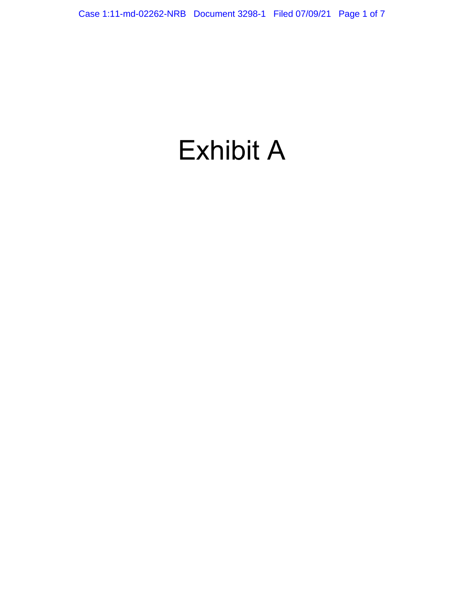# Exhibit A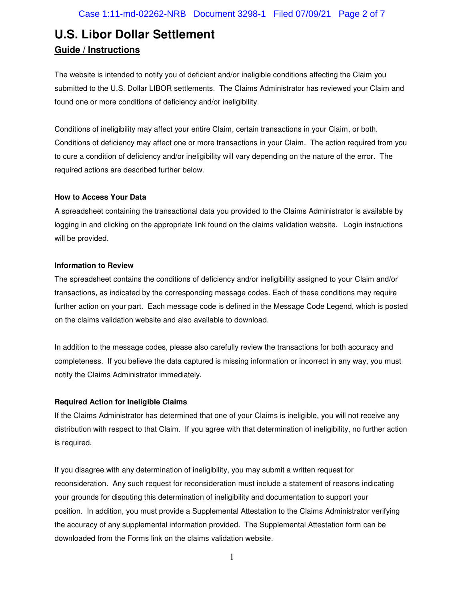The website is intended to notify you of deficient and/or ineligible conditions affecting the Claim you submitted to the U.S. Dollar LIBOR settlements. The Claims Administrator has reviewed your Claim and found one or more conditions of deficiency and/or ineligibility.

Conditions of ineligibility may affect your entire Claim, certain transactions in your Claim, or both. Conditions of deficiency may affect one or more transactions in your Claim. The action required from you to cure a condition of deficiency and/or ineligibility will vary depending on the nature of the error. The required actions are described further below.

#### **How to Access Your Data**

A spreadsheet containing the transactional data you provided to the Claims Administrator is available by logging in and clicking on the appropriate link found on the claims validation website. Login instructions will be provided.

#### **Information to Review**

The spreadsheet contains the conditions of deficiency and/or ineligibility assigned to your Claim and/or transactions, as indicated by the corresponding message codes. Each of these conditions may require further action on your part. Each message code is defined in the Message Code Legend, which is posted on the claims validation website and also available to download.

In addition to the message codes, please also carefully review the transactions for both accuracy and completeness. If you believe the data captured is missing information or incorrect in any way, you must notify the Claims Administrator immediately.

### **Required Action for Ineligible Claims**

If the Claims Administrator has determined that one of your Claims is ineligible, you will not receive any distribution with respect to that Claim. If you agree with that determination of ineligibility, no further action is required.

If you disagree with any determination of ineligibility, you may submit a written request for reconsideration. Any such request for reconsideration must include a statement of reasons indicating your grounds for disputing this determination of ineligibility and documentation to support your position. In addition, you must provide a Supplemental Attestation to the Claims Administrator verifying the accuracy of any supplemental information provided. The Supplemental Attestation form can be downloaded from the Forms link on the claims validation website.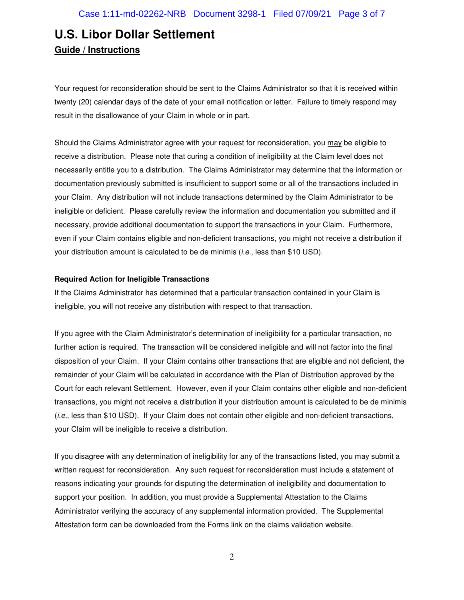Your request for reconsideration should be sent to the Claims Administrator so that it is received within twenty (20) calendar days of the date of your email notification or letter. Failure to timely respond may result in the disallowance of your Claim in whole or in part.

Should the Claims Administrator agree with your request for reconsideration, you may be eligible to receive a distribution. Please note that curing a condition of ineligibility at the Claim level does not necessarily entitle you to a distribution. The Claims Administrator may determine that the information or documentation previously submitted is insufficient to support some or all of the transactions included in your Claim. Any distribution will not include transactions determined by the Claim Administrator to be ineligible or deficient. Please carefully review the information and documentation you submitted and if necessary, provide additional documentation to support the transactions in your Claim. Furthermore, even if your Claim contains eligible and non-deficient transactions, you might not receive a distribution if your distribution amount is calculated to be de minimis (i.e., less than \$10 USD).

### **Required Action for Ineligible Transactions**

If the Claims Administrator has determined that a particular transaction contained in your Claim is ineligible, you will not receive any distribution with respect to that transaction.

If you agree with the Claim Administrator's determination of ineligibility for a particular transaction, no further action is required. The transaction will be considered ineligible and will not factor into the final disposition of your Claim. If your Claim contains other transactions that are eligible and not deficient, the remainder of your Claim will be calculated in accordance with the Plan of Distribution approved by the Court for each relevant Settlement. However, even if your Claim contains other eligible and non-deficient transactions, you might not receive a distribution if your distribution amount is calculated to be de minimis (i.e., less than \$10 USD). If your Claim does not contain other eligible and non-deficient transactions, your Claim will be ineligible to receive a distribution.

If you disagree with any determination of ineligibility for any of the transactions listed, you may submit a written request for reconsideration. Any such request for reconsideration must include a statement of reasons indicating your grounds for disputing the determination of ineligibility and documentation to support your position. In addition, you must provide a Supplemental Attestation to the Claims Administrator verifying the accuracy of any supplemental information provided. The Supplemental Attestation form can be downloaded from the Forms link on the claims validation website.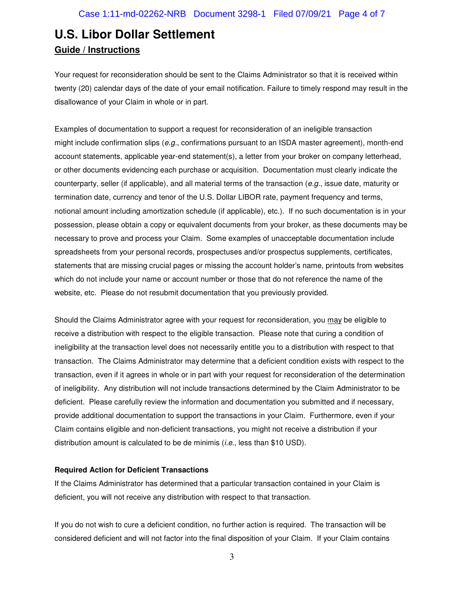Your request for reconsideration should be sent to the Claims Administrator so that it is received within twenty (20) calendar days of the date of your email notification. Failure to timely respond may result in the disallowance of your Claim in whole or in part.

Examples of documentation to support a request for reconsideration of an ineligible transaction might include confirmation slips ( $e.g.,$  confirmations pursuant to an ISDA master agreement), month-end account statements, applicable year-end statement(s), a letter from your broker on company letterhead, or other documents evidencing each purchase or acquisition. Documentation must clearly indicate the counterparty, seller (if applicable), and all material terms of the transaction ( $e.g.,$  issue date, maturity or termination date, currency and tenor of the U.S. Dollar LIBOR rate, payment frequency and terms, notional amount including amortization schedule (if applicable), etc.). If no such documentation is in your possession, please obtain a copy or equivalent documents from your broker, as these documents may be necessary to prove and process your Claim. Some examples of unacceptable documentation include spreadsheets from your personal records, prospectuses and/or prospectus supplements, certificates, statements that are missing crucial pages or missing the account holder's name, printouts from websites which do not include your name or account number or those that do not reference the name of the website, etc. Please do not resubmit documentation that you previously provided.

Should the Claims Administrator agree with your request for reconsideration, you may be eligible to receive a distribution with respect to the eligible transaction. Please note that curing a condition of ineligibility at the transaction level does not necessarily entitle you to a distribution with respect to that transaction. The Claims Administrator may determine that a deficient condition exists with respect to the transaction, even if it agrees in whole or in part with your request for reconsideration of the determination of ineligibility. Any distribution will not include transactions determined by the Claim Administrator to be deficient. Please carefully review the information and documentation you submitted and if necessary, provide additional documentation to support the transactions in your Claim. Furthermore, even if your Claim contains eligible and non-deficient transactions, you might not receive a distribution if your distribution amount is calculated to be de minimis (*i.e.*, less than \$10 USD).

### **Required Action for Deficient Transactions**

If the Claims Administrator has determined that a particular transaction contained in your Claim is deficient, you will not receive any distribution with respect to that transaction.

If you do not wish to cure a deficient condition, no further action is required. The transaction will be considered deficient and will not factor into the final disposition of your Claim. If your Claim contains

3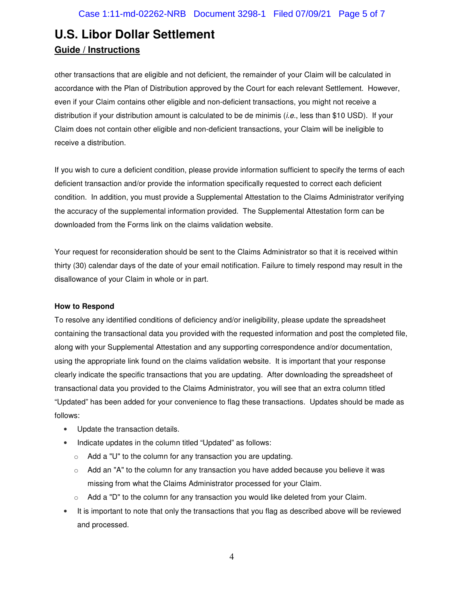other transactions that are eligible and not deficient, the remainder of your Claim will be calculated in accordance with the Plan of Distribution approved by the Court for each relevant Settlement. However, even if your Claim contains other eligible and non-deficient transactions, you might not receive a distribution if your distribution amount is calculated to be de minimis (i.e., less than \$10 USD). If your Claim does not contain other eligible and non-deficient transactions, your Claim will be ineligible to receive a distribution.

If you wish to cure a deficient condition, please provide information sufficient to specify the terms of each deficient transaction and/or provide the information specifically requested to correct each deficient condition. In addition, you must provide a Supplemental Attestation to the Claims Administrator verifying the accuracy of the supplemental information provided. The Supplemental Attestation form can be downloaded from the Forms link on the claims validation website.

Your request for reconsideration should be sent to the Claims Administrator so that it is received within thirty (30) calendar days of the date of your email notification. Failure to timely respond may result in the disallowance of your Claim in whole or in part.

### **How to Respond**

To resolve any identified conditions of deficiency and/or ineligibility, please update the spreadsheet containing the transactional data you provided with the requested information and post the completed file, along with your Supplemental Attestation and any supporting correspondence and/or documentation, using the appropriate link found on the claims validation website. It is important that your response clearly indicate the specific transactions that you are updating. After downloading the spreadsheet of transactional data you provided to the Claims Administrator, you will see that an extra column titled "Updated" has been added for your convenience to flag these transactions. Updates should be made as follows:

- Update the transaction details.
- Indicate updates in the column titled "Updated" as follows:
	- o Add a "U" to the column for any transaction you are updating.
	- $\circ$  Add an "A" to the column for any transaction you have added because you believe it was missing from what the Claims Administrator processed for your Claim.
	- $\circ$  Add a "D" to the column for any transaction you would like deleted from your Claim.
- It is important to note that only the transactions that you flag as described above will be reviewed and processed.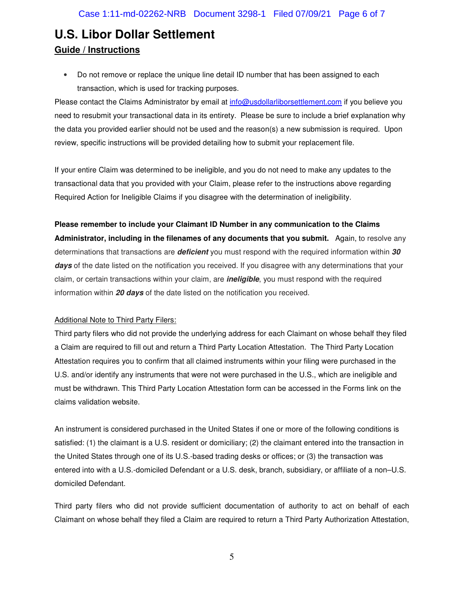• Do not remove or replace the unique line detail ID number that has been assigned to each transaction, which is used for tracking purposes.

Please contact the Claims Administrator by email at info@usdollarliborsettlement.com if you believe you need to resubmit your transactional data in its entirety. Please be sure to include a brief explanation why the data you provided earlier should not be used and the reason(s) a new submission is required. Upon review, specific instructions will be provided detailing how to submit your replacement file.

If your entire Claim was determined to be ineligible, and you do not need to make any updates to the transactional data that you provided with your Claim, please refer to the instructions above regarding Required Action for Ineligible Claims if you disagree with the determination of ineligibility.

**Please remember to include your Claimant ID Number in any communication to the Claims Administrator, including in the filenames of any documents that you submit.** Again, to resolve any determinations that transactions are **deficient** you must respond with the required information within **30**  days of the date listed on the notification you received. If you disagree with any determinations that your claim, or certain transactions within your claim, are **ineligible**, you must respond with the required information within **20 days** of the date listed on the notification you received.

### Additional Note to Third Party Filers:

Third party filers who did not provide the underlying address for each Claimant on whose behalf they filed a Claim are required to fill out and return a Third Party Location Attestation. The Third Party Location Attestation requires you to confirm that all claimed instruments within your filing were purchased in the U.S. and/or identify any instruments that were not were purchased in the U.S., which are ineligible and must be withdrawn. This Third Party Location Attestation form can be accessed in the Forms link on the claims validation website.

An instrument is considered purchased in the United States if one or more of the following conditions is satisfied: (1) the claimant is a U.S. resident or domiciliary; (2) the claimant entered into the transaction in the United States through one of its U.S.-based trading desks or offices; or (3) the transaction was entered into with a U.S.-domiciled Defendant or a U.S. desk, branch, subsidiary, or affiliate of a non–U.S. domiciled Defendant.

Third party filers who did not provide sufficient documentation of authority to act on behalf of each Claimant on whose behalf they filed a Claim are required to return a Third Party Authorization Attestation,